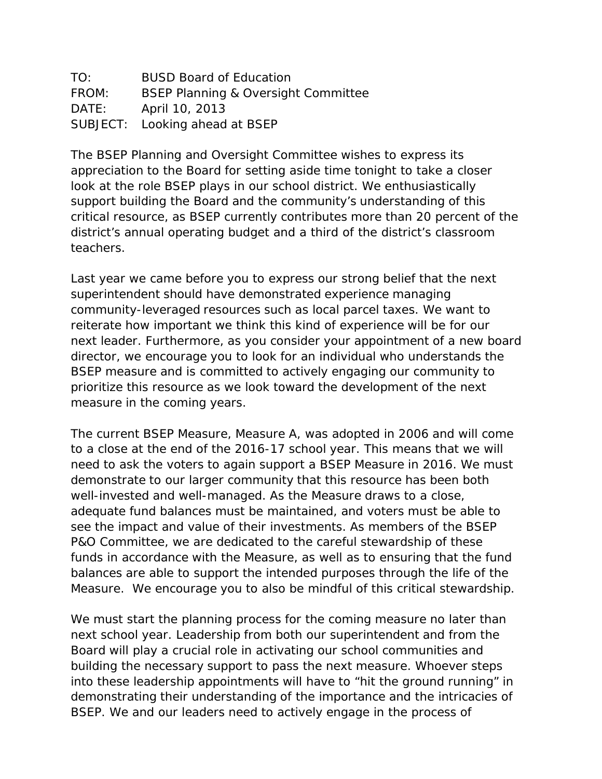| TO:   | <b>BUSD Board of Education</b>                 |
|-------|------------------------------------------------|
| FROM: | <b>BSEP Planning &amp; Oversight Committee</b> |
| DATE: | April 10, 2013                                 |
|       | SUBJECT: Looking ahead at BSEP                 |

The BSEP Planning and Oversight Committee wishes to express its appreciation to the Board for setting aside time tonight to take a closer look at the role BSEP plays in our school district. We enthusiastically support building the Board and the community's understanding of this critical resource, as BSEP currently contributes more than 20 percent of the district's annual operating budget and a third of the district's classroom teachers.

Last year we came before you to express our strong belief that the next superintendent should have demonstrated experience managing community-leveraged resources such as local parcel taxes. We want to reiterate how important we think this kind of experience will be for our next leader. Furthermore, as you consider your appointment of a new board director, we encourage you to look for an individual who understands the BSEP measure and is committed to actively engaging our community to prioritize this resource as we look toward the development of the next measure in the coming years.

The current BSEP Measure, Measure A, was adopted in 2006 and will come to a close at the end of the 2016-17 school year. This means that we will need to ask the voters to again support a BSEP Measure in 2016. We must demonstrate to our larger community that this resource has been both well-invested and well-managed. As the Measure draws to a close, adequate fund balances must be maintained, and voters must be able to see the impact and value of their investments. As members of the BSEP P&O Committee, we are dedicated to the careful stewardship of these funds in accordance with the Measure, as well as to ensuring that the fund balances are able to support the intended purposes through the life of the Measure. We encourage you to also be mindful of this critical stewardship.

We must start the planning process for the coming measure no later than next school year. Leadership from both our superintendent and from the Board will play a crucial role in activating our school communities and building the necessary support to pass the next measure. Whoever steps into these leadership appointments will have to "hit the ground running" in demonstrating their understanding of the importance and the intricacies of BSEP. We and our leaders need to actively engage in the process of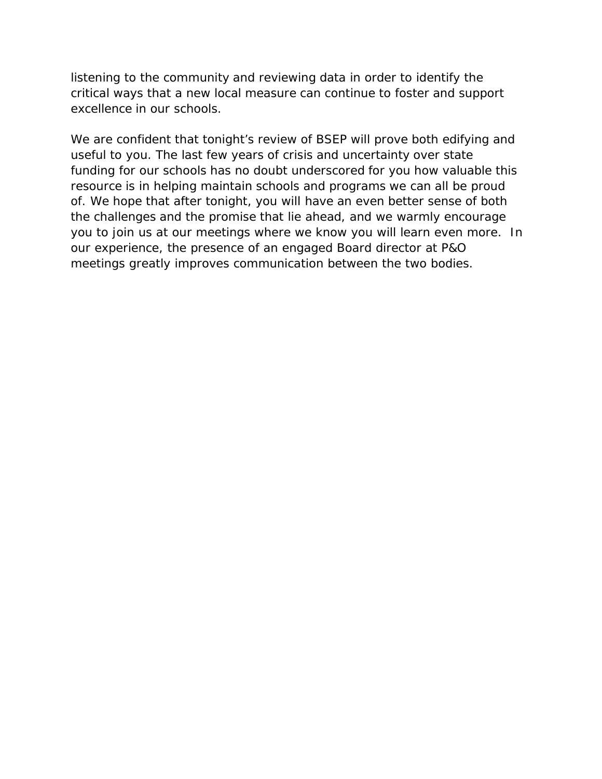listening to the community and reviewing data in order to identify the critical ways that a new local measure can continue to foster and support excellence in our schools.

We are confident that tonight's review of BSEP will prove both edifying and useful to you. The last few years of crisis and uncertainty over state funding for our schools has no doubt underscored for you how valuable this resource is in helping maintain schools and programs we can all be proud of. We hope that after tonight, you will have an even better sense of both the challenges and the promise that lie ahead, and we warmly encourage you to join us at our meetings where we know you will learn even more. In our experience, the presence of an engaged Board director at P&O meetings greatly improves communication between the two bodies.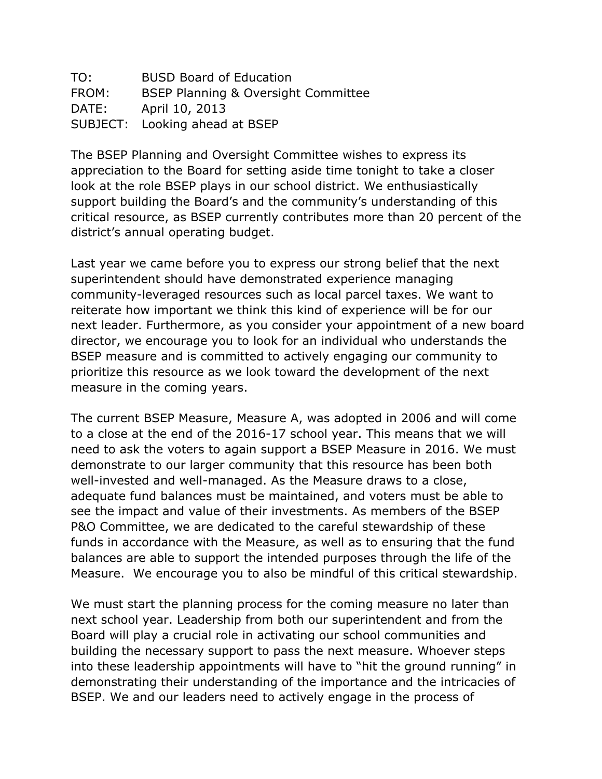TO: BUSD Board of Education FROM: BSEP Planning & Oversight Committee DATE: April 10, 2013 SUBJECT: Looking ahead at BSEP

The BSEP Planning and Oversight Committee wishes to express its appreciation to the Board for setting aside time tonight to take a closer look at the role BSEP plays in our school district. We enthusiastically support building the Board's and the community's understanding of this critical resource, as BSEP currently contributes more than 20 percent of the district's annual operating budget.

Last year we came before you to express our strong belief that the next superintendent should have demonstrated experience managing community-leveraged resources such as local parcel taxes. We want to reiterate how important we think this kind of experience will be for our next leader. Furthermore, as you consider your appointment of a new board director, we encourage you to look for an individual who understands the BSEP measure and is committed to actively engaging our community to prioritize this resource as we look toward the development of the next measure in the coming years.

The current BSEP Measure, Measure A, was adopted in 2006 and will come to a close at the end of the 2016-17 school year. This means that we will need to ask the voters to again support a BSEP Measure in 2016. We must demonstrate to our larger community that this resource has been both well-invested and well-managed. As the Measure draws to a close, adequate fund balances must be maintained, and voters must be able to see the impact and value of their investments. As members of the BSEP P&O Committee, we are dedicated to the careful stewardship of these funds in accordance with the Measure, as well as to ensuring that the fund balances are able to support the intended purposes through the life of the Measure. We encourage you to also be mindful of this critical stewardship.

We must start the planning process for the coming measure no later than next school year. Leadership from both our superintendent and from the Board will play a crucial role in activating our school communities and building the necessary support to pass the next measure. Whoever steps into these leadership appointments will have to "hit the ground running" in demonstrating their understanding of the importance and the intricacies of BSEP. We and our leaders need to actively engage in the process of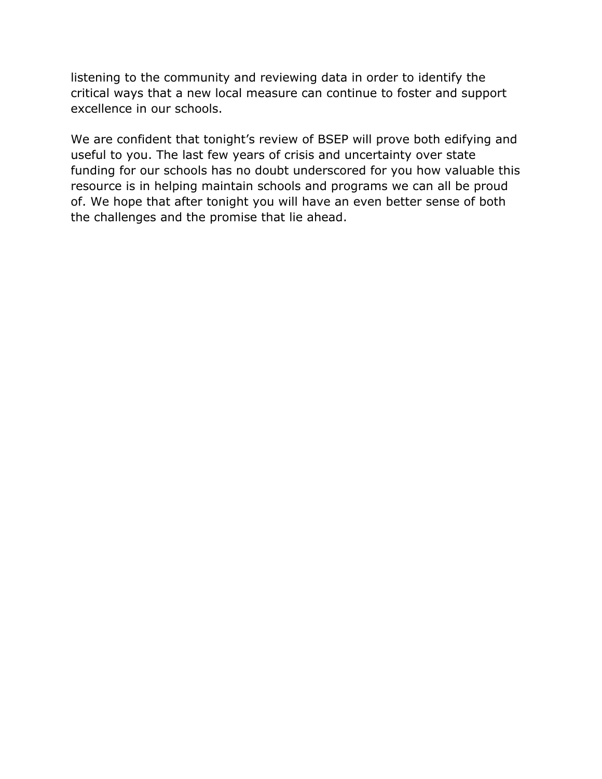listening to the community and reviewing data in order to identify the critical ways that a new local measure can continue to foster and support excellence in our schools.

We are confident that tonight's review of BSEP will prove both edifying and useful to you. The last few years of crisis and uncertainty over state funding for our schools has no doubt underscored for you how valuable this resource is in helping maintain schools and programs we can all be proud of. We hope that after tonight you will have an even better sense of both the challenges and the promise that lie ahead.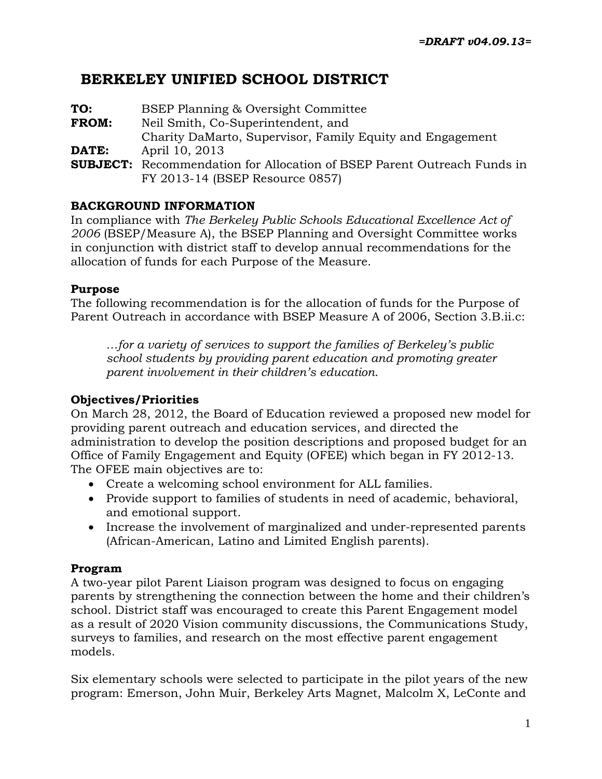## **BERKELEY UNIFIED SCHOOL DISTRICT**

| TO:          | BSEP Planning & Oversight Committee                                                                               |
|--------------|-------------------------------------------------------------------------------------------------------------------|
| <b>FROM:</b> | Neil Smith, Co-Superintendent, and                                                                                |
|              | Charity DaMarto, Supervisor, Family Equity and Engagement                                                         |
| DATE:        | April 10, 2013                                                                                                    |
|              | <b>SUBJECT:</b> Recommendation for Allocation of BSEP Parent Outreach Funds in<br>FY 2013-14 (BSEP Resource 0857) |

### **BACKGROUND INFORMATION**

In compliance with *The Berkeley Public Schools Educational Excellence Act of 2006* (BSEP/Measure A), the BSEP Planning and Oversight Committee works in conjunction with district staff to develop annual recommendations for the allocation of funds for each Purpose of the Measure.

### **Purpose**

The following recommendation is for the allocation of funds for the Purpose of Parent Outreach in accordance with BSEP Measure A of 2006, Section 3.B.ii.c:

*…for a variety of services to support the families of Berkeley's public school students by providing parent education and promoting greater parent involvement in their children's education*.

### **Objectives/Priorities**

On March 28, 2012, the Board of Education reviewed a proposed new model for providing parent outreach and education services, and directed the administration to develop the position descriptions and proposed budget for an Office of Family Engagement and Equity (OFEE) which began in FY 2012-13. The OFEE main objectives are to:

- Create a welcoming school environment for ALL families.
- Provide support to families of students in need of academic, behavioral, and emotional support.
- Increase the involvement of marginalized and under-represented parents (African-American, Latino and Limited English parents).

### **Program**

A two-year pilot Parent Liaison program was designed to focus on engaging parents by strengthening the connection between the home and their children's school. District staff was encouraged to create this Parent Engagement model as a result of 2020 Vision community discussions, the Communications Study, surveys to families, and research on the most effective parent engagement models.

Six elementary schools were selected to participate in the pilot years of the new program: Emerson, John Muir, Berkeley Arts Magnet, Malcolm X, LeConte and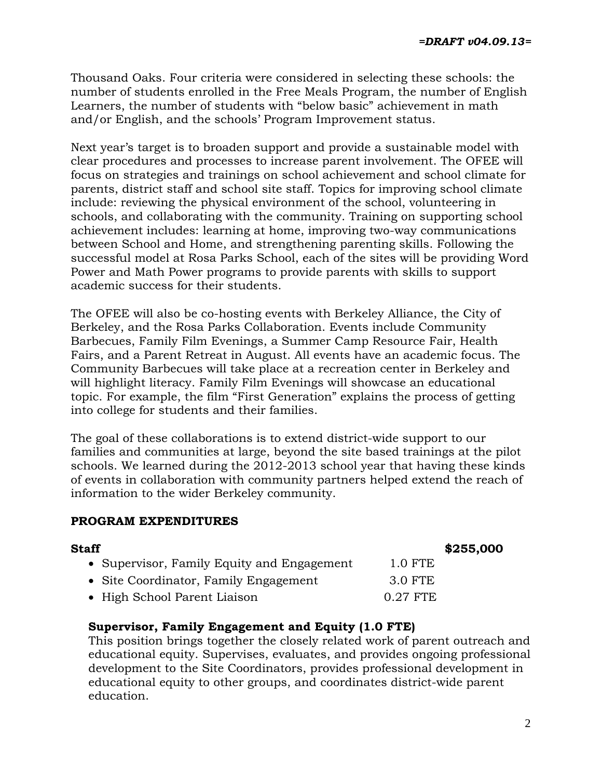Thousand Oaks. Four criteria were considered in selecting these schools: the number of students enrolled in the Free Meals Program, the number of English Learners, the number of students with "below basic" achievement in math and/or English, and the schools' Program Improvement status.

Next year's target is to broaden support and provide a sustainable model with clear procedures and processes to increase parent involvement. The OFEE will focus on strategies and trainings on school achievement and school climate for parents, district staff and school site staff. Topics for improving school climate include: reviewing the physical environment of the school, volunteering in schools, and collaborating with the community. Training on supporting school achievement includes: learning at home, improving two-way communications between School and Home, and strengthening parenting skills. Following the successful model at Rosa Parks School, each of the sites will be providing Word Power and Math Power programs to provide parents with skills to support academic success for their students.

The OFEE will also be co-hosting events with Berkeley Alliance, the City of Berkeley, and the Rosa Parks Collaboration. Events include Community Barbecues, Family Film Evenings, a Summer Camp Resource Fair, Health Fairs, and a Parent Retreat in August. All events have an academic focus. The Community Barbecues will take place at a recreation center in Berkeley and will highlight literacy. Family Film Evenings will showcase an educational topic. For example, the film "First Generation" explains the process of getting into college for students and their families.

The goal of these collaborations is to extend district-wide support to our families and communities at large, beyond the site based trainings at the pilot schools. We learned during the 2012-2013 school year that having these kinds of events in collaboration with community partners helped extend the reach of information to the wider Berkeley community.

### **PROGRAM EXPENDITURES**

| Staff                                      | \$255,000  |  |
|--------------------------------------------|------------|--|
| • Supervisor, Family Equity and Engagement | $1.0$ FTE  |  |
| • Site Coordinator, Family Engagement      | 3.0 FTE    |  |
| • High School Parent Liaison               | $0.27$ FTE |  |

### **Supervisor, Family Engagement and Equity (1.0 FTE)**

This position brings together the closely related work of parent outreach and educational equity. Supervises, evaluates, and provides ongoing professional development to the Site Coordinators, provides professional development in educational equity to other groups, and coordinates district-wide parent education.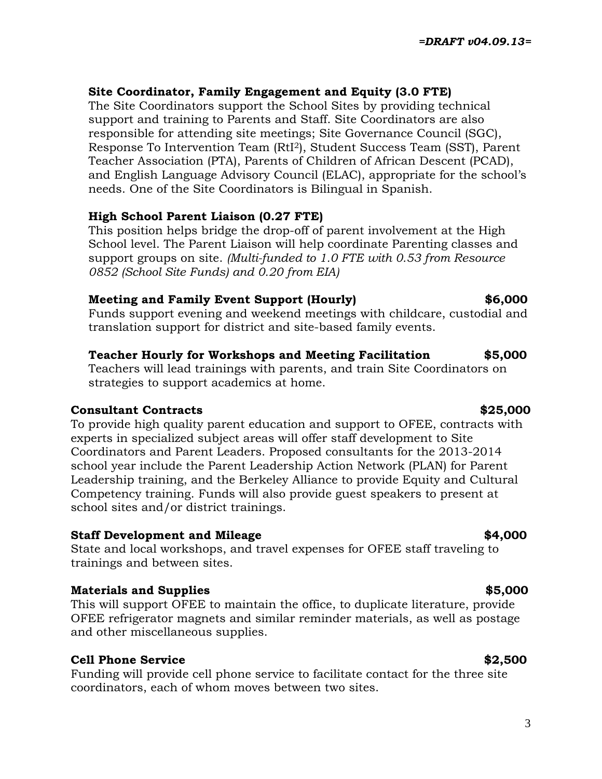## **Site Coordinator, Family Engagement and Equity (3.0 FTE)**

The Site Coordinators support the School Sites by providing technical support and training to Parents and Staff. Site Coordinators are also responsible for attending site meetings; Site Governance Council (SGC), Response To Intervention Team (RtI2), Student Success Team (SST), Parent Teacher Association (PTA), Parents of Children of African Descent (PCAD), and English Language Advisory Council (ELAC), appropriate for the school's needs. One of the Site Coordinators is Bilingual in Spanish.

## **High School Parent Liaison (0.27 FTE)**

This position helps bridge the drop-off of parent involvement at the High School level. The Parent Liaison will help coordinate Parenting classes and support groups on site. *(Multi-funded to 1.0 FTE with 0.53 from Resource 0852 (School Site Funds) and 0.20 from EIA)*

## **Meeting and Family Event Support (Hourly) \$6,000**

Funds support evening and weekend meetings with childcare, custodial and translation support for district and site-based family events.

## **Teacher Hourly for Workshops and Meeting Facilitation \$5,000**

Teachers will lead trainings with parents, and train Site Coordinators on strategies to support academics at home.

## **Consultant Contracts \$25,000**

To provide high quality parent education and support to OFEE, contracts with experts in specialized subject areas will offer staff development to Site Coordinators and Parent Leaders. Proposed consultants for the 2013-2014 school year include the Parent Leadership Action Network (PLAN) for Parent Leadership training, and the Berkeley Alliance to provide Equity and Cultural Competency training. Funds will also provide guest speakers to present at school sites and/or district trainings.

## **Staff Development and Mileage \$4,000**

State and local workshops, and travel expenses for OFEE staff traveling to trainings and between sites.

## **Materials and Supplies**  $\ddot{\textbf{s}}$ **5,000**

This will support OFEE to maintain the office, to duplicate literature, provide OFEE refrigerator magnets and similar reminder materials, as well as postage and other miscellaneous supplies.

## **Cell Phone Service**   $$2,500$

Funding will provide cell phone service to facilitate contact for the three site coordinators, each of whom moves between two sites.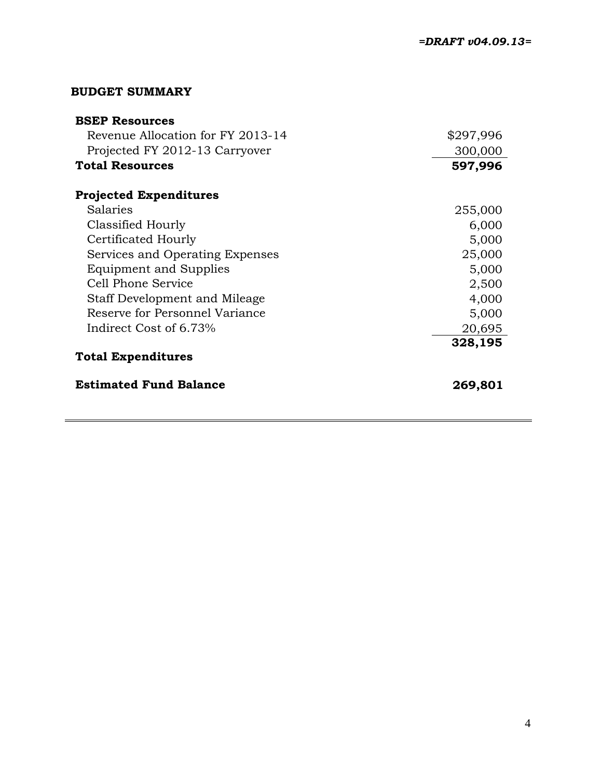### **BUDGET SUMMARY**

| <b>BSEP Resources</b>                |           |
|--------------------------------------|-----------|
| Revenue Allocation for FY 2013-14    | \$297,996 |
| Projected FY 2012-13 Carryover       | 300,000   |
| <b>Total Resources</b>               | 597,996   |
| <b>Projected Expenditures</b>        |           |
| Salaries                             | 255,000   |
| Classified Hourly                    | 6,000     |
| Certificated Hourly                  | 5,000     |
| Services and Operating Expenses      | 25,000    |
| <b>Equipment and Supplies</b>        | 5,000     |
| Cell Phone Service                   | 2,500     |
| <b>Staff Development and Mileage</b> | 4,000     |
| Reserve for Personnel Variance       | 5,000     |
| Indirect Cost of 6.73%               | 20,695    |
|                                      | 328,195   |
| <b>Total Expenditures</b>            |           |
| <b>Estimated Fund Balance</b>        | 269,801   |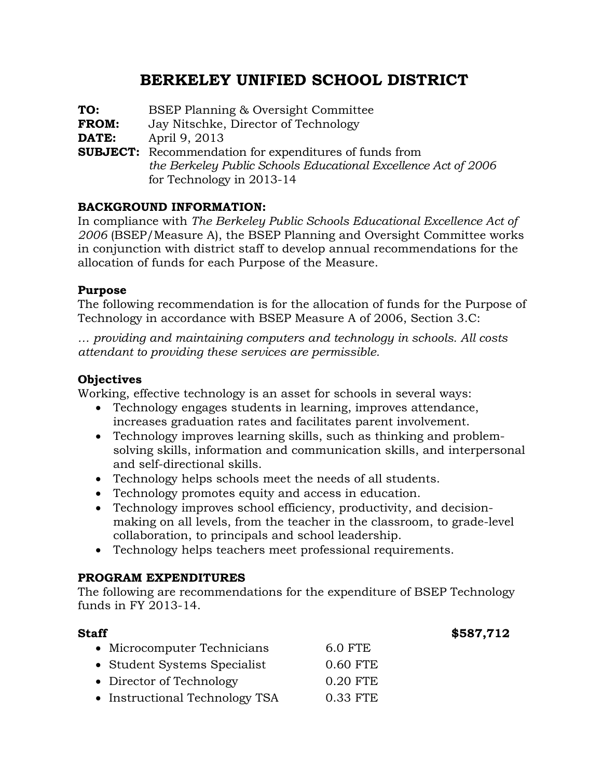## **BERKELEY UNIFIED SCHOOL DISTRICT**

**TO:** BSEP Planning & Oversight Committee **FROM:** Jay Nitschke, Director of Technology **DATE:** April 9, 2013 **SUBJECT:** Recommendation for expenditures of funds from *the Berkeley Public Schools Educational Excellence Act of 2006* for Technology in 2013-14

### **BACKGROUND INFORMATION:**

In compliance with *The Berkeley Public Schools Educational Excellence Act of 2006* (BSEP/Measure A), the BSEP Planning and Oversight Committee works in conjunction with district staff to develop annual recommendations for the allocation of funds for each Purpose of the Measure.

### **Purpose**

The following recommendation is for the allocation of funds for the Purpose of Technology in accordance with BSEP Measure A of 2006, Section 3.C:

*… providing and maintaining computers and technology in schools. All costs attendant to providing these services are permissible.*

### **Objectives**

Working, effective technology is an asset for schools in several ways:

- Technology engages students in learning, improves attendance, increases graduation rates and facilitates parent involvement.
- Technology improves learning skills, such as thinking and problemsolving skills, information and communication skills, and interpersonal and self-directional skills.
- Technology helps schools meet the needs of all students.
- Technology promotes equity and access in education.
- Technology improves school efficiency, productivity, and decisionmaking on all levels, from the teacher in the classroom, to grade-level collaboration, to principals and school leadership.
- Technology helps teachers meet professional requirements.

### **PROGRAM EXPENDITURES**

The following are recommendations for the expenditure of BSEP Technology funds in FY 2013-14.

**Staff**  $$587,712$ 

| • Microcomputer Technicians    | <b>6.0 FTE</b> |  |  |  |
|--------------------------------|----------------|--|--|--|
| • Student Systems Specialist   | 0.60 FTE       |  |  |  |
| • Director of Technology       | 0.20 FTE       |  |  |  |
| • Instructional Technology TSA | 0.33 FTE       |  |  |  |
|                                |                |  |  |  |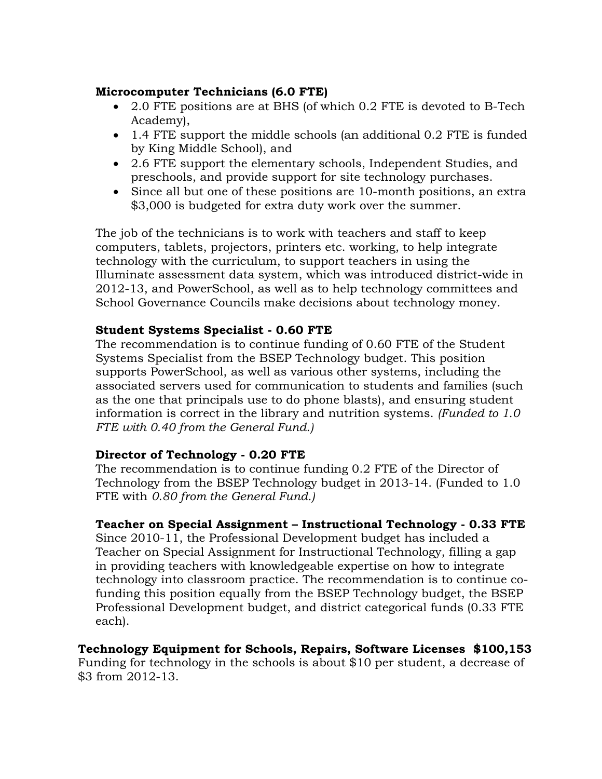### **Microcomputer Technicians (6.0 FTE)**

- 2.0 FTE positions are at BHS (of which 0.2 FTE is devoted to B-Tech Academy),
- 1.4 FTE support the middle schools (an additional 0.2 FTE is funded by King Middle School), and
- 2.6 FTE support the elementary schools, Independent Studies, and preschools, and provide support for site technology purchases.
- Since all but one of these positions are 10-month positions, an extra \$3,000 is budgeted for extra duty work over the summer.

The job of the technicians is to work with teachers and staff to keep computers, tablets, projectors, printers etc. working, to help integrate technology with the curriculum, to support teachers in using the Illuminate assessment data system, which was introduced district-wide in 2012-13, and PowerSchool, as well as to help technology committees and School Governance Councils make decisions about technology money.

### **Student Systems Specialist - 0.60 FTE**

The recommendation is to continue funding of 0.60 FTE of the Student Systems Specialist from the BSEP Technology budget. This position supports PowerSchool, as well as various other systems, including the associated servers used for communication to students and families (such as the one that principals use to do phone blasts), and ensuring student information is correct in the library and nutrition systems. *(Funded to 1.0 FTE with 0.40 from the General Fund.)*

### **Director of Technology - 0.20 FTE**

The recommendation is to continue funding 0.2 FTE of the Director of Technology from the BSEP Technology budget in 2013-14. (Funded to 1.0 FTE with *0.80 from the General Fund.)*

### **Teacher on Special Assignment – Instructional Technology - 0.33 FTE**

Since 2010-11, the Professional Development budget has included a Teacher on Special Assignment for Instructional Technology, filling a gap in providing teachers with knowledgeable expertise on how to integrate technology into classroom practice. The recommendation is to continue cofunding this position equally from the BSEP Technology budget, the BSEP Professional Development budget, and district categorical funds (0.33 FTE each).

# **Technology Equipment for Schools, Repairs, Software Licenses \$100,153**

Funding for technology in the schools is about \$10 per student, a decrease of \$3 from 2012-13.